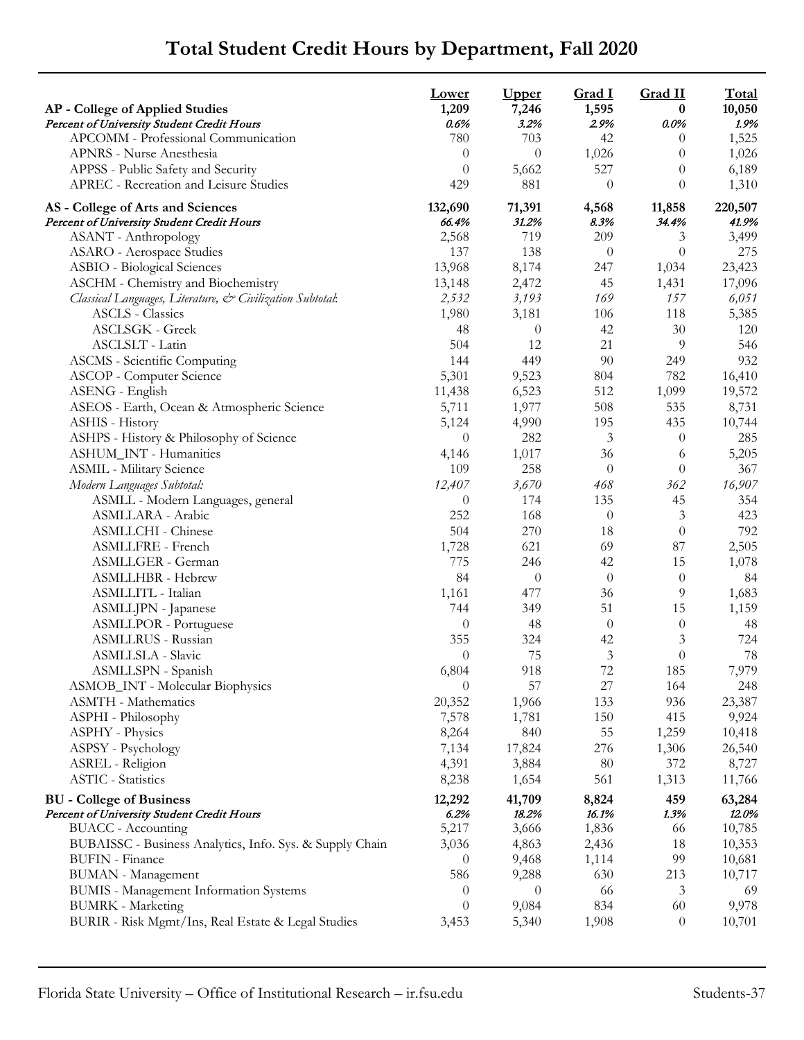| 7,246<br>1,209<br>1,595<br>10,050<br><b>AP</b> - College of Applied Studies<br>$\bf{0}$<br>3.2%<br>Percent of University Student Credit Hours<br>0.6%<br>2.9%<br>$0.0\%$<br>1.9%<br>APCOMM - Professional Communication<br>780<br>703<br>42<br>1,525<br>$\overline{0}$<br>APNRS - Nurse Anesthesia<br>$\overline{0}$<br>$\theta$<br>1,026<br>$\theta$<br>1,026<br>$\theta$<br>APPSS - Public Safety and Security<br>527<br>5,662<br>$\theta$<br>6,189<br>APREC - Recreation and Leisure Studies<br>429<br>881<br>$\theta$<br>$\theta$<br>1,310<br>132,690<br>71,391<br>AS - College of Arts and Sciences<br>4,568<br>11,858<br>220,507<br>31.2%<br>8.3%<br>Percent of University Student Credit Hours<br>66.4%<br>34.4%<br>41.9%<br>ASANT - Anthropology<br>2,568<br>719<br>209<br>3<br>3,499<br>137<br>$\theta$<br>138<br><b>ASARO</b> - Aerospace Studies<br>$\theta$<br>275<br>13,968<br><b>ASBIO</b> - Biological Sciences<br>8,174<br>1,034<br>23,423<br>247<br>ASCHM - Chemistry and Biochemistry<br>13,148<br>2,472<br>1,431<br>17,096<br>45<br>2,532<br>157<br>Classical Languages, Literature, & Civilization Subtotal:<br>3,193<br>169<br>6,051<br><b>ASCLS</b> - Classics<br>1,980<br>3,181<br>106<br>118<br>5,385<br>ASCLSGK - Greek<br>48<br>42<br>30<br>120<br>$\theta$<br>9<br>504<br>546<br>ASCLSLT - Latin<br>12<br>21<br>ASCMS - Scientific Computing<br>144<br>449<br>90<br>249<br>932<br>5,301<br>9,523<br>804<br>782<br>16,410<br>ASCOP - Computer Science<br>512<br>ASENG - English<br>11,438<br>6,523<br>1,099<br>19,572<br>5,711<br>1,977<br>508<br>535<br>8,731<br>ASEOS - Earth, Ocean & Atmospheric Science<br>5,124<br>4,990<br>195<br>435<br>10,744<br>ASHIS - History<br>ASHPS - History & Philosophy of Science<br>282<br>3<br>285<br>$\theta$<br>$\overline{0}$<br>ASHUM_INT - Humanities<br>1,017<br>5,205<br>4,146<br>36<br>6<br>$\boldsymbol{0}$<br><b>ASMIL</b> - Military Science<br>109<br>258<br>$\theta$<br>367<br>12,407<br>Modern Languages Subtotal:<br>3,670<br>468<br>362<br>16,907<br>ASMLL - Modern Languages, general<br>$\overline{0}$<br>135<br>45<br>174<br>354<br>252<br>ASMLLARA - Arabic<br>168<br>$\theta$<br>3<br>423<br>504<br>18<br>792<br>ASMLLCHI - Chinese<br>270<br>$\overline{0}$<br>1,728<br>87<br>ASMLLFRE - French<br>621<br>69<br>2,505<br>ASMLLGER - German<br>15<br>775<br>246<br>42<br>1,078<br><b>ASMLLHBR</b> - Hebrew<br>84<br>$\theta$<br>$\overline{0}$<br>$\theta$<br>84<br>ASMLLITL - Italian<br>1,161<br>477<br>36<br>9<br>1,683<br>51<br>ASMLLJPN - Japanese<br>744<br>349<br>15<br>1,159<br><b>ASMLLPOR</b> - Portuguese<br>$\theta$<br>48<br>$\theta$<br>$\theta$<br>48<br>ASMLLRUS - Russian<br>355<br>324<br>42<br>3<br>724<br>$\boldsymbol{0}$<br>75<br>$\mathfrak{Z}$<br>78<br>ASMLLSLA - Slavic<br>$\overline{0}$<br>918<br>72<br>7,979<br>ASMLLSPN - Spanish<br>6,804<br>185<br>ASMOB_INT - Molecular Biophysics<br>$\overline{0}$<br>57<br>27<br>164<br>248<br><b>ASMTH</b> - Mathematics<br>20,352<br>1,966<br>133<br>936<br>23,387<br>ASPHI - Philosophy<br>7,578<br>1,781<br>150<br>415<br>9,924<br>ASPHY - Physics<br>8,264<br>840<br>55<br>1,259<br>10,418<br>ASPSY - Psychology<br>7,134<br>17,824<br>276<br>1,306<br>26,540<br>372<br>ASREL - Religion<br>4,391<br>3,884<br>80<br>8,727<br><b>ASTIC</b> - Statistics<br>8,238<br>1,654<br>561<br>1,313<br>11,766<br><b>BU</b> - College of Business<br>12,292<br>41,709<br>8,824<br>63,284<br>459<br>16.1%<br>Percent of University Student Credit Hours<br>6.2%<br>18.2%<br>1.3%<br>12.0%<br>5,217<br><b>BUACC</b> - Accounting<br>3,666<br>1,836<br>66<br>10,785<br>3,036<br>BUBAISSC - Business Analytics, Info. Sys. & Supply Chain<br>4,863<br>2,436<br>18<br>10,353<br><b>BUFIN</b> - Finance<br>9,468<br>1,114<br>99<br>$\theta$<br>10,681<br><b>BUMAN</b> - Management<br>586<br>9,288<br>630<br>213<br>10,717<br><b>BUMIS</b> - Management Information Systems<br>3<br>$\theta$<br>$\theta$<br>66<br>69<br>834<br><b>BUMRK</b> - Marketing<br>9,084<br>60<br>$\theta$<br>9,978 |                                                    | <b>Lower</b> | <b>Upper</b> | Grad I | Grad II  | <b>Total</b> |
|----------------------------------------------------------------------------------------------------------------------------------------------------------------------------------------------------------------------------------------------------------------------------------------------------------------------------------------------------------------------------------------------------------------------------------------------------------------------------------------------------------------------------------------------------------------------------------------------------------------------------------------------------------------------------------------------------------------------------------------------------------------------------------------------------------------------------------------------------------------------------------------------------------------------------------------------------------------------------------------------------------------------------------------------------------------------------------------------------------------------------------------------------------------------------------------------------------------------------------------------------------------------------------------------------------------------------------------------------------------------------------------------------------------------------------------------------------------------------------------------------------------------------------------------------------------------------------------------------------------------------------------------------------------------------------------------------------------------------------------------------------------------------------------------------------------------------------------------------------------------------------------------------------------------------------------------------------------------------------------------------------------------------------------------------------------------------------------------------------------------------------------------------------------------------------------------------------------------------------------------------------------------------------------------------------------------------------------------------------------------------------------------------------------------------------------------------------------------------------------------------------------------------------------------------------------------------------------------------------------------------------------------------------------------------------------------------------------------------------------------------------------------------------------------------------------------------------------------------------------------------------------------------------------------------------------------------------------------------------------------------------------------------------------------------------------------------------------------------------------------------------------------------------------------------------------------------------------------------------------------------------------------------------------------------------------------------------------------------------------------------------------------------------------------------------------------------------------------------------------------------------------------------------------------------------------------------------------------------------------------------------------------------------------------------------------------------------------------------------------------------------------------------------------------------------------------------------------------------------------------------------------------------------------------------------------------------------------------------------------------------------------------------------------|----------------------------------------------------|--------------|--------------|--------|----------|--------------|
|                                                                                                                                                                                                                                                                                                                                                                                                                                                                                                                                                                                                                                                                                                                                                                                                                                                                                                                                                                                                                                                                                                                                                                                                                                                                                                                                                                                                                                                                                                                                                                                                                                                                                                                                                                                                                                                                                                                                                                                                                                                                                                                                                                                                                                                                                                                                                                                                                                                                                                                                                                                                                                                                                                                                                                                                                                                                                                                                                                                                                                                                                                                                                                                                                                                                                                                                                                                                                                                                                                                                                                                                                                                                                                                                                                                                                                                                                                                                                                                                                                        |                                                    |              |              |        |          |              |
|                                                                                                                                                                                                                                                                                                                                                                                                                                                                                                                                                                                                                                                                                                                                                                                                                                                                                                                                                                                                                                                                                                                                                                                                                                                                                                                                                                                                                                                                                                                                                                                                                                                                                                                                                                                                                                                                                                                                                                                                                                                                                                                                                                                                                                                                                                                                                                                                                                                                                                                                                                                                                                                                                                                                                                                                                                                                                                                                                                                                                                                                                                                                                                                                                                                                                                                                                                                                                                                                                                                                                                                                                                                                                                                                                                                                                                                                                                                                                                                                                                        |                                                    |              |              |        |          |              |
|                                                                                                                                                                                                                                                                                                                                                                                                                                                                                                                                                                                                                                                                                                                                                                                                                                                                                                                                                                                                                                                                                                                                                                                                                                                                                                                                                                                                                                                                                                                                                                                                                                                                                                                                                                                                                                                                                                                                                                                                                                                                                                                                                                                                                                                                                                                                                                                                                                                                                                                                                                                                                                                                                                                                                                                                                                                                                                                                                                                                                                                                                                                                                                                                                                                                                                                                                                                                                                                                                                                                                                                                                                                                                                                                                                                                                                                                                                                                                                                                                                        |                                                    |              |              |        |          |              |
|                                                                                                                                                                                                                                                                                                                                                                                                                                                                                                                                                                                                                                                                                                                                                                                                                                                                                                                                                                                                                                                                                                                                                                                                                                                                                                                                                                                                                                                                                                                                                                                                                                                                                                                                                                                                                                                                                                                                                                                                                                                                                                                                                                                                                                                                                                                                                                                                                                                                                                                                                                                                                                                                                                                                                                                                                                                                                                                                                                                                                                                                                                                                                                                                                                                                                                                                                                                                                                                                                                                                                                                                                                                                                                                                                                                                                                                                                                                                                                                                                                        |                                                    |              |              |        |          |              |
|                                                                                                                                                                                                                                                                                                                                                                                                                                                                                                                                                                                                                                                                                                                                                                                                                                                                                                                                                                                                                                                                                                                                                                                                                                                                                                                                                                                                                                                                                                                                                                                                                                                                                                                                                                                                                                                                                                                                                                                                                                                                                                                                                                                                                                                                                                                                                                                                                                                                                                                                                                                                                                                                                                                                                                                                                                                                                                                                                                                                                                                                                                                                                                                                                                                                                                                                                                                                                                                                                                                                                                                                                                                                                                                                                                                                                                                                                                                                                                                                                                        |                                                    |              |              |        |          |              |
|                                                                                                                                                                                                                                                                                                                                                                                                                                                                                                                                                                                                                                                                                                                                                                                                                                                                                                                                                                                                                                                                                                                                                                                                                                                                                                                                                                                                                                                                                                                                                                                                                                                                                                                                                                                                                                                                                                                                                                                                                                                                                                                                                                                                                                                                                                                                                                                                                                                                                                                                                                                                                                                                                                                                                                                                                                                                                                                                                                                                                                                                                                                                                                                                                                                                                                                                                                                                                                                                                                                                                                                                                                                                                                                                                                                                                                                                                                                                                                                                                                        |                                                    |              |              |        |          |              |
|                                                                                                                                                                                                                                                                                                                                                                                                                                                                                                                                                                                                                                                                                                                                                                                                                                                                                                                                                                                                                                                                                                                                                                                                                                                                                                                                                                                                                                                                                                                                                                                                                                                                                                                                                                                                                                                                                                                                                                                                                                                                                                                                                                                                                                                                                                                                                                                                                                                                                                                                                                                                                                                                                                                                                                                                                                                                                                                                                                                                                                                                                                                                                                                                                                                                                                                                                                                                                                                                                                                                                                                                                                                                                                                                                                                                                                                                                                                                                                                                                                        |                                                    |              |              |        |          |              |
|                                                                                                                                                                                                                                                                                                                                                                                                                                                                                                                                                                                                                                                                                                                                                                                                                                                                                                                                                                                                                                                                                                                                                                                                                                                                                                                                                                                                                                                                                                                                                                                                                                                                                                                                                                                                                                                                                                                                                                                                                                                                                                                                                                                                                                                                                                                                                                                                                                                                                                                                                                                                                                                                                                                                                                                                                                                                                                                                                                                                                                                                                                                                                                                                                                                                                                                                                                                                                                                                                                                                                                                                                                                                                                                                                                                                                                                                                                                                                                                                                                        |                                                    |              |              |        |          |              |
|                                                                                                                                                                                                                                                                                                                                                                                                                                                                                                                                                                                                                                                                                                                                                                                                                                                                                                                                                                                                                                                                                                                                                                                                                                                                                                                                                                                                                                                                                                                                                                                                                                                                                                                                                                                                                                                                                                                                                                                                                                                                                                                                                                                                                                                                                                                                                                                                                                                                                                                                                                                                                                                                                                                                                                                                                                                                                                                                                                                                                                                                                                                                                                                                                                                                                                                                                                                                                                                                                                                                                                                                                                                                                                                                                                                                                                                                                                                                                                                                                                        |                                                    |              |              |        |          |              |
|                                                                                                                                                                                                                                                                                                                                                                                                                                                                                                                                                                                                                                                                                                                                                                                                                                                                                                                                                                                                                                                                                                                                                                                                                                                                                                                                                                                                                                                                                                                                                                                                                                                                                                                                                                                                                                                                                                                                                                                                                                                                                                                                                                                                                                                                                                                                                                                                                                                                                                                                                                                                                                                                                                                                                                                                                                                                                                                                                                                                                                                                                                                                                                                                                                                                                                                                                                                                                                                                                                                                                                                                                                                                                                                                                                                                                                                                                                                                                                                                                                        |                                                    |              |              |        |          |              |
|                                                                                                                                                                                                                                                                                                                                                                                                                                                                                                                                                                                                                                                                                                                                                                                                                                                                                                                                                                                                                                                                                                                                                                                                                                                                                                                                                                                                                                                                                                                                                                                                                                                                                                                                                                                                                                                                                                                                                                                                                                                                                                                                                                                                                                                                                                                                                                                                                                                                                                                                                                                                                                                                                                                                                                                                                                                                                                                                                                                                                                                                                                                                                                                                                                                                                                                                                                                                                                                                                                                                                                                                                                                                                                                                                                                                                                                                                                                                                                                                                                        |                                                    |              |              |        |          |              |
|                                                                                                                                                                                                                                                                                                                                                                                                                                                                                                                                                                                                                                                                                                                                                                                                                                                                                                                                                                                                                                                                                                                                                                                                                                                                                                                                                                                                                                                                                                                                                                                                                                                                                                                                                                                                                                                                                                                                                                                                                                                                                                                                                                                                                                                                                                                                                                                                                                                                                                                                                                                                                                                                                                                                                                                                                                                                                                                                                                                                                                                                                                                                                                                                                                                                                                                                                                                                                                                                                                                                                                                                                                                                                                                                                                                                                                                                                                                                                                                                                                        |                                                    |              |              |        |          |              |
|                                                                                                                                                                                                                                                                                                                                                                                                                                                                                                                                                                                                                                                                                                                                                                                                                                                                                                                                                                                                                                                                                                                                                                                                                                                                                                                                                                                                                                                                                                                                                                                                                                                                                                                                                                                                                                                                                                                                                                                                                                                                                                                                                                                                                                                                                                                                                                                                                                                                                                                                                                                                                                                                                                                                                                                                                                                                                                                                                                                                                                                                                                                                                                                                                                                                                                                                                                                                                                                                                                                                                                                                                                                                                                                                                                                                                                                                                                                                                                                                                                        |                                                    |              |              |        |          |              |
|                                                                                                                                                                                                                                                                                                                                                                                                                                                                                                                                                                                                                                                                                                                                                                                                                                                                                                                                                                                                                                                                                                                                                                                                                                                                                                                                                                                                                                                                                                                                                                                                                                                                                                                                                                                                                                                                                                                                                                                                                                                                                                                                                                                                                                                                                                                                                                                                                                                                                                                                                                                                                                                                                                                                                                                                                                                                                                                                                                                                                                                                                                                                                                                                                                                                                                                                                                                                                                                                                                                                                                                                                                                                                                                                                                                                                                                                                                                                                                                                                                        |                                                    |              |              |        |          |              |
|                                                                                                                                                                                                                                                                                                                                                                                                                                                                                                                                                                                                                                                                                                                                                                                                                                                                                                                                                                                                                                                                                                                                                                                                                                                                                                                                                                                                                                                                                                                                                                                                                                                                                                                                                                                                                                                                                                                                                                                                                                                                                                                                                                                                                                                                                                                                                                                                                                                                                                                                                                                                                                                                                                                                                                                                                                                                                                                                                                                                                                                                                                                                                                                                                                                                                                                                                                                                                                                                                                                                                                                                                                                                                                                                                                                                                                                                                                                                                                                                                                        |                                                    |              |              |        |          |              |
|                                                                                                                                                                                                                                                                                                                                                                                                                                                                                                                                                                                                                                                                                                                                                                                                                                                                                                                                                                                                                                                                                                                                                                                                                                                                                                                                                                                                                                                                                                                                                                                                                                                                                                                                                                                                                                                                                                                                                                                                                                                                                                                                                                                                                                                                                                                                                                                                                                                                                                                                                                                                                                                                                                                                                                                                                                                                                                                                                                                                                                                                                                                                                                                                                                                                                                                                                                                                                                                                                                                                                                                                                                                                                                                                                                                                                                                                                                                                                                                                                                        |                                                    |              |              |        |          |              |
|                                                                                                                                                                                                                                                                                                                                                                                                                                                                                                                                                                                                                                                                                                                                                                                                                                                                                                                                                                                                                                                                                                                                                                                                                                                                                                                                                                                                                                                                                                                                                                                                                                                                                                                                                                                                                                                                                                                                                                                                                                                                                                                                                                                                                                                                                                                                                                                                                                                                                                                                                                                                                                                                                                                                                                                                                                                                                                                                                                                                                                                                                                                                                                                                                                                                                                                                                                                                                                                                                                                                                                                                                                                                                                                                                                                                                                                                                                                                                                                                                                        |                                                    |              |              |        |          |              |
|                                                                                                                                                                                                                                                                                                                                                                                                                                                                                                                                                                                                                                                                                                                                                                                                                                                                                                                                                                                                                                                                                                                                                                                                                                                                                                                                                                                                                                                                                                                                                                                                                                                                                                                                                                                                                                                                                                                                                                                                                                                                                                                                                                                                                                                                                                                                                                                                                                                                                                                                                                                                                                                                                                                                                                                                                                                                                                                                                                                                                                                                                                                                                                                                                                                                                                                                                                                                                                                                                                                                                                                                                                                                                                                                                                                                                                                                                                                                                                                                                                        |                                                    |              |              |        |          |              |
|                                                                                                                                                                                                                                                                                                                                                                                                                                                                                                                                                                                                                                                                                                                                                                                                                                                                                                                                                                                                                                                                                                                                                                                                                                                                                                                                                                                                                                                                                                                                                                                                                                                                                                                                                                                                                                                                                                                                                                                                                                                                                                                                                                                                                                                                                                                                                                                                                                                                                                                                                                                                                                                                                                                                                                                                                                                                                                                                                                                                                                                                                                                                                                                                                                                                                                                                                                                                                                                                                                                                                                                                                                                                                                                                                                                                                                                                                                                                                                                                                                        |                                                    |              |              |        |          |              |
|                                                                                                                                                                                                                                                                                                                                                                                                                                                                                                                                                                                                                                                                                                                                                                                                                                                                                                                                                                                                                                                                                                                                                                                                                                                                                                                                                                                                                                                                                                                                                                                                                                                                                                                                                                                                                                                                                                                                                                                                                                                                                                                                                                                                                                                                                                                                                                                                                                                                                                                                                                                                                                                                                                                                                                                                                                                                                                                                                                                                                                                                                                                                                                                                                                                                                                                                                                                                                                                                                                                                                                                                                                                                                                                                                                                                                                                                                                                                                                                                                                        |                                                    |              |              |        |          |              |
|                                                                                                                                                                                                                                                                                                                                                                                                                                                                                                                                                                                                                                                                                                                                                                                                                                                                                                                                                                                                                                                                                                                                                                                                                                                                                                                                                                                                                                                                                                                                                                                                                                                                                                                                                                                                                                                                                                                                                                                                                                                                                                                                                                                                                                                                                                                                                                                                                                                                                                                                                                                                                                                                                                                                                                                                                                                                                                                                                                                                                                                                                                                                                                                                                                                                                                                                                                                                                                                                                                                                                                                                                                                                                                                                                                                                                                                                                                                                                                                                                                        |                                                    |              |              |        |          |              |
|                                                                                                                                                                                                                                                                                                                                                                                                                                                                                                                                                                                                                                                                                                                                                                                                                                                                                                                                                                                                                                                                                                                                                                                                                                                                                                                                                                                                                                                                                                                                                                                                                                                                                                                                                                                                                                                                                                                                                                                                                                                                                                                                                                                                                                                                                                                                                                                                                                                                                                                                                                                                                                                                                                                                                                                                                                                                                                                                                                                                                                                                                                                                                                                                                                                                                                                                                                                                                                                                                                                                                                                                                                                                                                                                                                                                                                                                                                                                                                                                                                        |                                                    |              |              |        |          |              |
|                                                                                                                                                                                                                                                                                                                                                                                                                                                                                                                                                                                                                                                                                                                                                                                                                                                                                                                                                                                                                                                                                                                                                                                                                                                                                                                                                                                                                                                                                                                                                                                                                                                                                                                                                                                                                                                                                                                                                                                                                                                                                                                                                                                                                                                                                                                                                                                                                                                                                                                                                                                                                                                                                                                                                                                                                                                                                                                                                                                                                                                                                                                                                                                                                                                                                                                                                                                                                                                                                                                                                                                                                                                                                                                                                                                                                                                                                                                                                                                                                                        |                                                    |              |              |        |          |              |
|                                                                                                                                                                                                                                                                                                                                                                                                                                                                                                                                                                                                                                                                                                                                                                                                                                                                                                                                                                                                                                                                                                                                                                                                                                                                                                                                                                                                                                                                                                                                                                                                                                                                                                                                                                                                                                                                                                                                                                                                                                                                                                                                                                                                                                                                                                                                                                                                                                                                                                                                                                                                                                                                                                                                                                                                                                                                                                                                                                                                                                                                                                                                                                                                                                                                                                                                                                                                                                                                                                                                                                                                                                                                                                                                                                                                                                                                                                                                                                                                                                        |                                                    |              |              |        |          |              |
|                                                                                                                                                                                                                                                                                                                                                                                                                                                                                                                                                                                                                                                                                                                                                                                                                                                                                                                                                                                                                                                                                                                                                                                                                                                                                                                                                                                                                                                                                                                                                                                                                                                                                                                                                                                                                                                                                                                                                                                                                                                                                                                                                                                                                                                                                                                                                                                                                                                                                                                                                                                                                                                                                                                                                                                                                                                                                                                                                                                                                                                                                                                                                                                                                                                                                                                                                                                                                                                                                                                                                                                                                                                                                                                                                                                                                                                                                                                                                                                                                                        |                                                    |              |              |        |          |              |
|                                                                                                                                                                                                                                                                                                                                                                                                                                                                                                                                                                                                                                                                                                                                                                                                                                                                                                                                                                                                                                                                                                                                                                                                                                                                                                                                                                                                                                                                                                                                                                                                                                                                                                                                                                                                                                                                                                                                                                                                                                                                                                                                                                                                                                                                                                                                                                                                                                                                                                                                                                                                                                                                                                                                                                                                                                                                                                                                                                                                                                                                                                                                                                                                                                                                                                                                                                                                                                                                                                                                                                                                                                                                                                                                                                                                                                                                                                                                                                                                                                        |                                                    |              |              |        |          |              |
|                                                                                                                                                                                                                                                                                                                                                                                                                                                                                                                                                                                                                                                                                                                                                                                                                                                                                                                                                                                                                                                                                                                                                                                                                                                                                                                                                                                                                                                                                                                                                                                                                                                                                                                                                                                                                                                                                                                                                                                                                                                                                                                                                                                                                                                                                                                                                                                                                                                                                                                                                                                                                                                                                                                                                                                                                                                                                                                                                                                                                                                                                                                                                                                                                                                                                                                                                                                                                                                                                                                                                                                                                                                                                                                                                                                                                                                                                                                                                                                                                                        |                                                    |              |              |        |          |              |
|                                                                                                                                                                                                                                                                                                                                                                                                                                                                                                                                                                                                                                                                                                                                                                                                                                                                                                                                                                                                                                                                                                                                                                                                                                                                                                                                                                                                                                                                                                                                                                                                                                                                                                                                                                                                                                                                                                                                                                                                                                                                                                                                                                                                                                                                                                                                                                                                                                                                                                                                                                                                                                                                                                                                                                                                                                                                                                                                                                                                                                                                                                                                                                                                                                                                                                                                                                                                                                                                                                                                                                                                                                                                                                                                                                                                                                                                                                                                                                                                                                        |                                                    |              |              |        |          |              |
|                                                                                                                                                                                                                                                                                                                                                                                                                                                                                                                                                                                                                                                                                                                                                                                                                                                                                                                                                                                                                                                                                                                                                                                                                                                                                                                                                                                                                                                                                                                                                                                                                                                                                                                                                                                                                                                                                                                                                                                                                                                                                                                                                                                                                                                                                                                                                                                                                                                                                                                                                                                                                                                                                                                                                                                                                                                                                                                                                                                                                                                                                                                                                                                                                                                                                                                                                                                                                                                                                                                                                                                                                                                                                                                                                                                                                                                                                                                                                                                                                                        |                                                    |              |              |        |          |              |
|                                                                                                                                                                                                                                                                                                                                                                                                                                                                                                                                                                                                                                                                                                                                                                                                                                                                                                                                                                                                                                                                                                                                                                                                                                                                                                                                                                                                                                                                                                                                                                                                                                                                                                                                                                                                                                                                                                                                                                                                                                                                                                                                                                                                                                                                                                                                                                                                                                                                                                                                                                                                                                                                                                                                                                                                                                                                                                                                                                                                                                                                                                                                                                                                                                                                                                                                                                                                                                                                                                                                                                                                                                                                                                                                                                                                                                                                                                                                                                                                                                        |                                                    |              |              |        |          |              |
|                                                                                                                                                                                                                                                                                                                                                                                                                                                                                                                                                                                                                                                                                                                                                                                                                                                                                                                                                                                                                                                                                                                                                                                                                                                                                                                                                                                                                                                                                                                                                                                                                                                                                                                                                                                                                                                                                                                                                                                                                                                                                                                                                                                                                                                                                                                                                                                                                                                                                                                                                                                                                                                                                                                                                                                                                                                                                                                                                                                                                                                                                                                                                                                                                                                                                                                                                                                                                                                                                                                                                                                                                                                                                                                                                                                                                                                                                                                                                                                                                                        |                                                    |              |              |        |          |              |
|                                                                                                                                                                                                                                                                                                                                                                                                                                                                                                                                                                                                                                                                                                                                                                                                                                                                                                                                                                                                                                                                                                                                                                                                                                                                                                                                                                                                                                                                                                                                                                                                                                                                                                                                                                                                                                                                                                                                                                                                                                                                                                                                                                                                                                                                                                                                                                                                                                                                                                                                                                                                                                                                                                                                                                                                                                                                                                                                                                                                                                                                                                                                                                                                                                                                                                                                                                                                                                                                                                                                                                                                                                                                                                                                                                                                                                                                                                                                                                                                                                        |                                                    |              |              |        |          |              |
|                                                                                                                                                                                                                                                                                                                                                                                                                                                                                                                                                                                                                                                                                                                                                                                                                                                                                                                                                                                                                                                                                                                                                                                                                                                                                                                                                                                                                                                                                                                                                                                                                                                                                                                                                                                                                                                                                                                                                                                                                                                                                                                                                                                                                                                                                                                                                                                                                                                                                                                                                                                                                                                                                                                                                                                                                                                                                                                                                                                                                                                                                                                                                                                                                                                                                                                                                                                                                                                                                                                                                                                                                                                                                                                                                                                                                                                                                                                                                                                                                                        |                                                    |              |              |        |          |              |
|                                                                                                                                                                                                                                                                                                                                                                                                                                                                                                                                                                                                                                                                                                                                                                                                                                                                                                                                                                                                                                                                                                                                                                                                                                                                                                                                                                                                                                                                                                                                                                                                                                                                                                                                                                                                                                                                                                                                                                                                                                                                                                                                                                                                                                                                                                                                                                                                                                                                                                                                                                                                                                                                                                                                                                                                                                                                                                                                                                                                                                                                                                                                                                                                                                                                                                                                                                                                                                                                                                                                                                                                                                                                                                                                                                                                                                                                                                                                                                                                                                        |                                                    |              |              |        |          |              |
|                                                                                                                                                                                                                                                                                                                                                                                                                                                                                                                                                                                                                                                                                                                                                                                                                                                                                                                                                                                                                                                                                                                                                                                                                                                                                                                                                                                                                                                                                                                                                                                                                                                                                                                                                                                                                                                                                                                                                                                                                                                                                                                                                                                                                                                                                                                                                                                                                                                                                                                                                                                                                                                                                                                                                                                                                                                                                                                                                                                                                                                                                                                                                                                                                                                                                                                                                                                                                                                                                                                                                                                                                                                                                                                                                                                                                                                                                                                                                                                                                                        |                                                    |              |              |        |          |              |
|                                                                                                                                                                                                                                                                                                                                                                                                                                                                                                                                                                                                                                                                                                                                                                                                                                                                                                                                                                                                                                                                                                                                                                                                                                                                                                                                                                                                                                                                                                                                                                                                                                                                                                                                                                                                                                                                                                                                                                                                                                                                                                                                                                                                                                                                                                                                                                                                                                                                                                                                                                                                                                                                                                                                                                                                                                                                                                                                                                                                                                                                                                                                                                                                                                                                                                                                                                                                                                                                                                                                                                                                                                                                                                                                                                                                                                                                                                                                                                                                                                        |                                                    |              |              |        |          |              |
|                                                                                                                                                                                                                                                                                                                                                                                                                                                                                                                                                                                                                                                                                                                                                                                                                                                                                                                                                                                                                                                                                                                                                                                                                                                                                                                                                                                                                                                                                                                                                                                                                                                                                                                                                                                                                                                                                                                                                                                                                                                                                                                                                                                                                                                                                                                                                                                                                                                                                                                                                                                                                                                                                                                                                                                                                                                                                                                                                                                                                                                                                                                                                                                                                                                                                                                                                                                                                                                                                                                                                                                                                                                                                                                                                                                                                                                                                                                                                                                                                                        |                                                    |              |              |        |          |              |
|                                                                                                                                                                                                                                                                                                                                                                                                                                                                                                                                                                                                                                                                                                                                                                                                                                                                                                                                                                                                                                                                                                                                                                                                                                                                                                                                                                                                                                                                                                                                                                                                                                                                                                                                                                                                                                                                                                                                                                                                                                                                                                                                                                                                                                                                                                                                                                                                                                                                                                                                                                                                                                                                                                                                                                                                                                                                                                                                                                                                                                                                                                                                                                                                                                                                                                                                                                                                                                                                                                                                                                                                                                                                                                                                                                                                                                                                                                                                                                                                                                        |                                                    |              |              |        |          |              |
|                                                                                                                                                                                                                                                                                                                                                                                                                                                                                                                                                                                                                                                                                                                                                                                                                                                                                                                                                                                                                                                                                                                                                                                                                                                                                                                                                                                                                                                                                                                                                                                                                                                                                                                                                                                                                                                                                                                                                                                                                                                                                                                                                                                                                                                                                                                                                                                                                                                                                                                                                                                                                                                                                                                                                                                                                                                                                                                                                                                                                                                                                                                                                                                                                                                                                                                                                                                                                                                                                                                                                                                                                                                                                                                                                                                                                                                                                                                                                                                                                                        |                                                    |              |              |        |          |              |
|                                                                                                                                                                                                                                                                                                                                                                                                                                                                                                                                                                                                                                                                                                                                                                                                                                                                                                                                                                                                                                                                                                                                                                                                                                                                                                                                                                                                                                                                                                                                                                                                                                                                                                                                                                                                                                                                                                                                                                                                                                                                                                                                                                                                                                                                                                                                                                                                                                                                                                                                                                                                                                                                                                                                                                                                                                                                                                                                                                                                                                                                                                                                                                                                                                                                                                                                                                                                                                                                                                                                                                                                                                                                                                                                                                                                                                                                                                                                                                                                                                        |                                                    |              |              |        |          |              |
|                                                                                                                                                                                                                                                                                                                                                                                                                                                                                                                                                                                                                                                                                                                                                                                                                                                                                                                                                                                                                                                                                                                                                                                                                                                                                                                                                                                                                                                                                                                                                                                                                                                                                                                                                                                                                                                                                                                                                                                                                                                                                                                                                                                                                                                                                                                                                                                                                                                                                                                                                                                                                                                                                                                                                                                                                                                                                                                                                                                                                                                                                                                                                                                                                                                                                                                                                                                                                                                                                                                                                                                                                                                                                                                                                                                                                                                                                                                                                                                                                                        |                                                    |              |              |        |          |              |
|                                                                                                                                                                                                                                                                                                                                                                                                                                                                                                                                                                                                                                                                                                                                                                                                                                                                                                                                                                                                                                                                                                                                                                                                                                                                                                                                                                                                                                                                                                                                                                                                                                                                                                                                                                                                                                                                                                                                                                                                                                                                                                                                                                                                                                                                                                                                                                                                                                                                                                                                                                                                                                                                                                                                                                                                                                                                                                                                                                                                                                                                                                                                                                                                                                                                                                                                                                                                                                                                                                                                                                                                                                                                                                                                                                                                                                                                                                                                                                                                                                        |                                                    |              |              |        |          |              |
|                                                                                                                                                                                                                                                                                                                                                                                                                                                                                                                                                                                                                                                                                                                                                                                                                                                                                                                                                                                                                                                                                                                                                                                                                                                                                                                                                                                                                                                                                                                                                                                                                                                                                                                                                                                                                                                                                                                                                                                                                                                                                                                                                                                                                                                                                                                                                                                                                                                                                                                                                                                                                                                                                                                                                                                                                                                                                                                                                                                                                                                                                                                                                                                                                                                                                                                                                                                                                                                                                                                                                                                                                                                                                                                                                                                                                                                                                                                                                                                                                                        |                                                    |              |              |        |          |              |
|                                                                                                                                                                                                                                                                                                                                                                                                                                                                                                                                                                                                                                                                                                                                                                                                                                                                                                                                                                                                                                                                                                                                                                                                                                                                                                                                                                                                                                                                                                                                                                                                                                                                                                                                                                                                                                                                                                                                                                                                                                                                                                                                                                                                                                                                                                                                                                                                                                                                                                                                                                                                                                                                                                                                                                                                                                                                                                                                                                                                                                                                                                                                                                                                                                                                                                                                                                                                                                                                                                                                                                                                                                                                                                                                                                                                                                                                                                                                                                                                                                        |                                                    |              |              |        |          |              |
|                                                                                                                                                                                                                                                                                                                                                                                                                                                                                                                                                                                                                                                                                                                                                                                                                                                                                                                                                                                                                                                                                                                                                                                                                                                                                                                                                                                                                                                                                                                                                                                                                                                                                                                                                                                                                                                                                                                                                                                                                                                                                                                                                                                                                                                                                                                                                                                                                                                                                                                                                                                                                                                                                                                                                                                                                                                                                                                                                                                                                                                                                                                                                                                                                                                                                                                                                                                                                                                                                                                                                                                                                                                                                                                                                                                                                                                                                                                                                                                                                                        |                                                    |              |              |        |          |              |
|                                                                                                                                                                                                                                                                                                                                                                                                                                                                                                                                                                                                                                                                                                                                                                                                                                                                                                                                                                                                                                                                                                                                                                                                                                                                                                                                                                                                                                                                                                                                                                                                                                                                                                                                                                                                                                                                                                                                                                                                                                                                                                                                                                                                                                                                                                                                                                                                                                                                                                                                                                                                                                                                                                                                                                                                                                                                                                                                                                                                                                                                                                                                                                                                                                                                                                                                                                                                                                                                                                                                                                                                                                                                                                                                                                                                                                                                                                                                                                                                                                        |                                                    |              |              |        |          |              |
|                                                                                                                                                                                                                                                                                                                                                                                                                                                                                                                                                                                                                                                                                                                                                                                                                                                                                                                                                                                                                                                                                                                                                                                                                                                                                                                                                                                                                                                                                                                                                                                                                                                                                                                                                                                                                                                                                                                                                                                                                                                                                                                                                                                                                                                                                                                                                                                                                                                                                                                                                                                                                                                                                                                                                                                                                                                                                                                                                                                                                                                                                                                                                                                                                                                                                                                                                                                                                                                                                                                                                                                                                                                                                                                                                                                                                                                                                                                                                                                                                                        |                                                    |              |              |        |          |              |
|                                                                                                                                                                                                                                                                                                                                                                                                                                                                                                                                                                                                                                                                                                                                                                                                                                                                                                                                                                                                                                                                                                                                                                                                                                                                                                                                                                                                                                                                                                                                                                                                                                                                                                                                                                                                                                                                                                                                                                                                                                                                                                                                                                                                                                                                                                                                                                                                                                                                                                                                                                                                                                                                                                                                                                                                                                                                                                                                                                                                                                                                                                                                                                                                                                                                                                                                                                                                                                                                                                                                                                                                                                                                                                                                                                                                                                                                                                                                                                                                                                        |                                                    |              |              |        |          |              |
|                                                                                                                                                                                                                                                                                                                                                                                                                                                                                                                                                                                                                                                                                                                                                                                                                                                                                                                                                                                                                                                                                                                                                                                                                                                                                                                                                                                                                                                                                                                                                                                                                                                                                                                                                                                                                                                                                                                                                                                                                                                                                                                                                                                                                                                                                                                                                                                                                                                                                                                                                                                                                                                                                                                                                                                                                                                                                                                                                                                                                                                                                                                                                                                                                                                                                                                                                                                                                                                                                                                                                                                                                                                                                                                                                                                                                                                                                                                                                                                                                                        |                                                    |              |              |        |          |              |
|                                                                                                                                                                                                                                                                                                                                                                                                                                                                                                                                                                                                                                                                                                                                                                                                                                                                                                                                                                                                                                                                                                                                                                                                                                                                                                                                                                                                                                                                                                                                                                                                                                                                                                                                                                                                                                                                                                                                                                                                                                                                                                                                                                                                                                                                                                                                                                                                                                                                                                                                                                                                                                                                                                                                                                                                                                                                                                                                                                                                                                                                                                                                                                                                                                                                                                                                                                                                                                                                                                                                                                                                                                                                                                                                                                                                                                                                                                                                                                                                                                        |                                                    |              |              |        |          |              |
|                                                                                                                                                                                                                                                                                                                                                                                                                                                                                                                                                                                                                                                                                                                                                                                                                                                                                                                                                                                                                                                                                                                                                                                                                                                                                                                                                                                                                                                                                                                                                                                                                                                                                                                                                                                                                                                                                                                                                                                                                                                                                                                                                                                                                                                                                                                                                                                                                                                                                                                                                                                                                                                                                                                                                                                                                                                                                                                                                                                                                                                                                                                                                                                                                                                                                                                                                                                                                                                                                                                                                                                                                                                                                                                                                                                                                                                                                                                                                                                                                                        |                                                    |              |              |        |          |              |
|                                                                                                                                                                                                                                                                                                                                                                                                                                                                                                                                                                                                                                                                                                                                                                                                                                                                                                                                                                                                                                                                                                                                                                                                                                                                                                                                                                                                                                                                                                                                                                                                                                                                                                                                                                                                                                                                                                                                                                                                                                                                                                                                                                                                                                                                                                                                                                                                                                                                                                                                                                                                                                                                                                                                                                                                                                                                                                                                                                                                                                                                                                                                                                                                                                                                                                                                                                                                                                                                                                                                                                                                                                                                                                                                                                                                                                                                                                                                                                                                                                        |                                                    |              |              |        |          |              |
|                                                                                                                                                                                                                                                                                                                                                                                                                                                                                                                                                                                                                                                                                                                                                                                                                                                                                                                                                                                                                                                                                                                                                                                                                                                                                                                                                                                                                                                                                                                                                                                                                                                                                                                                                                                                                                                                                                                                                                                                                                                                                                                                                                                                                                                                                                                                                                                                                                                                                                                                                                                                                                                                                                                                                                                                                                                                                                                                                                                                                                                                                                                                                                                                                                                                                                                                                                                                                                                                                                                                                                                                                                                                                                                                                                                                                                                                                                                                                                                                                                        |                                                    |              |              |        |          |              |
|                                                                                                                                                                                                                                                                                                                                                                                                                                                                                                                                                                                                                                                                                                                                                                                                                                                                                                                                                                                                                                                                                                                                                                                                                                                                                                                                                                                                                                                                                                                                                                                                                                                                                                                                                                                                                                                                                                                                                                                                                                                                                                                                                                                                                                                                                                                                                                                                                                                                                                                                                                                                                                                                                                                                                                                                                                                                                                                                                                                                                                                                                                                                                                                                                                                                                                                                                                                                                                                                                                                                                                                                                                                                                                                                                                                                                                                                                                                                                                                                                                        | BURIR - Risk Mgmt/Ins, Real Estate & Legal Studies | 3,453        | 5,340        | 1,908  | $\theta$ | 10,701       |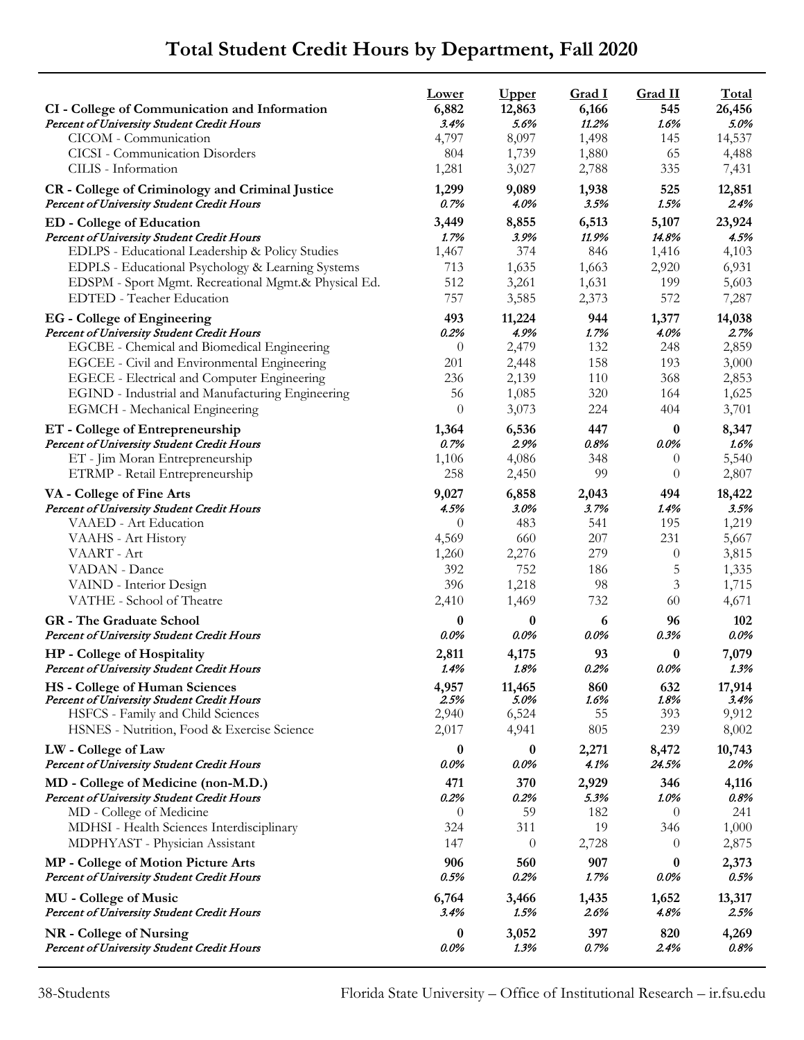|                                                                                                       | <b>Lower</b>        | <u>Upper</u>   | Grad I        | Grad II                  | Total          |
|-------------------------------------------------------------------------------------------------------|---------------------|----------------|---------------|--------------------------|----------------|
| CI - College of Communication and Information                                                         | 6,882               | 12,863         | 6,166         | 545                      | 26,456         |
| Percent of University Student Credit Hours                                                            | 3.4%                | 5.6%           | 11.2%         | 1.6%                     | 5.0%           |
| CICOM - Communication                                                                                 | 4,797               | 8,097          | 1,498         | 145                      | 14,537         |
| <b>CICSI</b> - Communication Disorders                                                                | 804                 | 1,739          | 1,880         | 65                       | 4,488          |
| CILIS - Information                                                                                   | 1,281               | 3,027          | 2,788         | 335                      | 7,431          |
| <b>CR</b> - College of Criminology and Criminal Justice<br>Percent of University Student Credit Hours | 1,299<br>0.7%       | 9,089<br>4.0%  | 1,938<br>3.5% | 525<br>1.5%              | 12,851<br>2.4% |
| <b>ED</b> - College of Education                                                                      | 3,449               | 8,855          | 6,513         | 5,107                    | 23,924         |
| Percent of University Student Credit Hours                                                            | 1.7%                | 3.9%           | 11.9%         | 14.8%                    | 4.5%           |
| EDLPS - Educational Leadership & Policy Studies                                                       | 1,467               | 374            | 846           | 1,416                    | 4,103          |
| EDPLS - Educational Psychology & Learning Systems                                                     | 713                 | 1,635          | 1,663         | 2,920                    | 6,931          |
| EDSPM - Sport Mgmt. Recreational Mgmt.& Physical Ed.                                                  | 512                 | 3,261          | 1,631         | 199                      | 5,603          |
| EDTED - Teacher Education                                                                             | 757                 | 3,585          | 2,373         | 572                      | 7,287          |
| <b>EG</b> - College of Engineering                                                                    | 493                 | 11,224         | 944           | 1,377                    | 14,038         |
| Percent of University Student Credit Hours                                                            | 0.2%                | 4.9%           | 1.7%          | 4.0%                     | 2.7%           |
| EGCBE - Chemical and Biomedical Engineering<br>EGCEE - Civil and Environmental Engineering            | $\theta$<br>201     | 2,479<br>2,448 | 132<br>158    | 248<br>193               | 2,859<br>3,000 |
| EGECE - Electrical and Computer Engineering                                                           | 236                 | 2,139          | 110           | 368                      | 2,853          |
| EGIND - Industrial and Manufacturing Engineering                                                      | 56                  | 1,085          | 320           | 164                      | 1,625          |
| <b>EGMCH</b> - Mechanical Engineering                                                                 | $\theta$            | 3,073          | 224           | 404                      | 3,701          |
|                                                                                                       |                     |                |               |                          |                |
| ET - College of Entrepreneurship<br>Percent of University Student Credit Hours                        | 1,364<br>0.7%       | 6,536<br>2.9%  | 447<br>0.8%   | $\boldsymbol{0}$<br>0.0% | 8,347<br>1.6%  |
| ET - Jim Moran Entrepreneurship                                                                       | 1,106               | 4,086          | 348           | $\theta$                 | 5,540          |
| ETRMP - Retail Entrepreneurship                                                                       | 258                 | 2,450          | 99            | $\theta$                 | 2,807          |
| VA - College of Fine Arts                                                                             | 9,027               | 6,858          | 2,043         | 494                      | 18,422         |
| Percent of University Student Credit Hours                                                            | 4.5%                | 3.0%           | 3.7%          | 1.4%                     | 3.5%           |
| VAAED - Art Education                                                                                 | $\theta$            | 483            | 541           | 195                      | 1,219          |
| VAAHS - Art History                                                                                   | 4,569               | 660            | 207           | 231                      | 5,667          |
| VAART - Art                                                                                           | 1,260               | 2,276          | 279           | $\theta$                 | 3,815          |
| VADAN - Dance                                                                                         | 392                 | 752            | 186           | 5                        | 1,335          |
| VAIND - Interior Design                                                                               | 396                 | 1,218          | 98            | 3                        | 1,715          |
| VATHE - School of Theatre                                                                             | 2,410               | 1,469          | 732           | 60                       | 4,671          |
| GR - The Graduate School                                                                              | $\bf{0}$            | 0              | 6             | 96                       | 102            |
| Percent of University Student Credit Hours                                                            | $0.0\%$             | 0.0%           | $0.0\%$       | 0.3%                     | 0.0%           |
| HP - College of Hospitality                                                                           | 2,811               | 4,175          | 93            | $\boldsymbol{0}$         | 7,079          |
| Percent of University Student Credit Hours                                                            | 1.4%                | 1.8%           | 0.2%          | 0.0%                     | 1.3%           |
| <b>HS</b> - College of Human Sciences                                                                 | 4,957               | 11,465         | 860           | 632                      | 17,914         |
| Percent of University Student Credit Hours<br>HSFCS - Family and Child Sciences                       | 2.5%<br>2,940       | 5.0%<br>6,524  | 1.6%<br>55    | 1.8%<br>393              | 3.4%<br>9,912  |
| HSNES - Nutrition, Food & Exercise Science                                                            | 2,017               | 4,941          | 805           | 239                      | 8,002          |
|                                                                                                       |                     |                |               |                          |                |
| LW - College of Law<br>Percent of University Student Credit Hours                                     | $\bf{0}$<br>$0.0\%$ | 0<br>0.0%      | 2,271<br>4.1% | 8,472<br>24.5%           | 10,743<br>2.0% |
|                                                                                                       |                     |                |               |                          |                |
| MD - College of Medicine (non-M.D.)<br>Percent of University Student Credit Hours                     | 471<br>0.2%         | 370<br>0.2%    | 2,929<br>5.3% | 346<br>1.0%              | 4,116<br>0.8%  |
| MD - College of Medicine                                                                              | $\theta$            | 59             | 182           | $\theta$                 | 241            |
| MDHSI - Health Sciences Interdisciplinary                                                             | 324                 | 311            | 19            | 346                      | 1,000          |
| MDPHYAST - Physician Assistant                                                                        | 147                 | $\theta$       | 2,728         | $\theta$                 | 2,875          |
| <b>MP</b> - College of Motion Picture Arts                                                            | 906                 | 560            | 907           | $\bf{0}$                 | 2,373          |
| Percent of University Student Credit Hours                                                            | 0.5%                | 0.2%           | 1.7%          | 0.0%                     | 0.5%           |
| <b>MU</b> - College of Music                                                                          | 6,764               | 3,466          | 1,435         | 1,652                    | 13,317         |
| Percent of University Student Credit Hours                                                            | 3.4%                | 1.5%           | 2.6%          | 4.8%                     | 2.5%           |
| NR - College of Nursing                                                                               | $\bf{0}$            | 3,052          | 397           | 820                      | 4,269          |
| Percent of University Student Credit Hours                                                            | $0.0\%$             | 1.3%           | 0.7%          | 2.4%                     | 0.8%           |